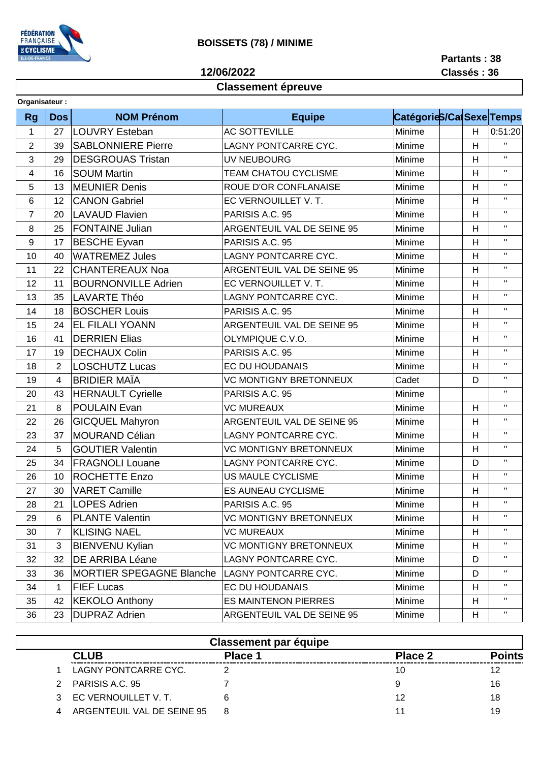

## **BOISSETS (78) / MINIME**

12/06/2022

Partants: 38 Classés: 36

## **Classement épreuve**

| Organisateur:  |                |                                 |                               |                          |   |                    |  |  |  |
|----------------|----------------|---------------------------------|-------------------------------|--------------------------|---|--------------------|--|--|--|
| <b>Rg</b>      | <b>Dos</b>     | <b>NOM Prénom</b>               | <b>Equipe</b>                 | CatégorieS/Ca Sexe Temps |   |                    |  |  |  |
| $\mathbf{1}$   | 27             | LOUVRY Esteban                  | <b>AC SOTTEVILLE</b>          | Minime                   | H | 0:51:20            |  |  |  |
| $\overline{2}$ | 39             | <b>SABLONNIERE Pierre</b>       | LAGNY PONTCARRE CYC.          | Minime                   | H | $\mathbf{H}$       |  |  |  |
| 3              | 29             | <b>DESGROUAS Tristan</b>        | UV NEUBOURG                   | Minime                   | H | $\mathbf{H}$       |  |  |  |
| 4              | 16             | <b>SOUM Martin</b>              | <b>TEAM CHATOU CYCLISME</b>   | Minime                   | H | $\mathbf{H}$       |  |  |  |
| 5              | 13             | <b>MEUNIER Denis</b>            | ROUE D'OR CONFLANAISE         | Minime                   | H | $\mathbf H$        |  |  |  |
| 6              | 12             | <b>CANON Gabriel</b>            | EC VERNOUILLET V.T.           | Minime                   | H | $\mathbf{H}$       |  |  |  |
| $\overline{7}$ | 20             | <b>LAVAUD Flavien</b>           | PARISIS A.C. 95               | Minime                   | H | $\mathbf{H}$       |  |  |  |
| 8              | 25             | <b>FONTAINE Julian</b>          | ARGENTEUIL VAL DE SEINE 95    | Minime                   | H | $\mathbf{H}$       |  |  |  |
| $9\,$          | 17             | <b>BESCHE Eyvan</b>             | PARISIS A.C. 95               | Minime                   | H | $\mathbf{H}$       |  |  |  |
| 10             | 40             | <b>WATREMEZ Jules</b>           | LAGNY PONTCARRE CYC.          | Minime                   | H | $\mathbf{H}$       |  |  |  |
| 11             | 22             | <b>CHANTEREAUX Noa</b>          | ARGENTEUIL VAL DE SEINE 95    | Minime                   | H | $\mathbf{H}$       |  |  |  |
| 12             | 11             | <b>BOURNONVILLE Adrien</b>      | EC VERNOUILLET V.T.           | Minime                   | H | $\mathbf{H}$       |  |  |  |
| 13             | 35             | <b>LAVARTE Théo</b>             | LAGNY PONTCARRE CYC.          | Minime                   | H | $\mathbf{H}$       |  |  |  |
| 14             | 18             | <b>BOSCHER Louis</b>            | PARISIS A.C. 95               | Minime                   | H | $\mathbf H$        |  |  |  |
| 15             | 24             | <b>EL FILALI YOANN</b>          | ARGENTEUIL VAL DE SEINE 95    | Minime                   | H | $\mathbf{H}$       |  |  |  |
| 16             | 41             | <b>DERRIEN Elias</b>            | OLYMPIQUE C.V.O.              | Minime                   | H | $\mathbf{H}$       |  |  |  |
| 17             | 19             | <b>DECHAUX Colin</b>            | PARISIS A.C. 95               | Minime                   | H | $\mathbf{H}$       |  |  |  |
| 18             | $\overline{2}$ | <b>LOSCHUTZ Lucas</b>           | EC DU HOUDANAIS               | Minime                   | H | $\mathbf{H}$       |  |  |  |
| 19             | 4              | <b>BRIDIER MAÏA</b>             | <b>VC MONTIGNY BRETONNEUX</b> | Cadet                    | D | $\mathbf{H}$       |  |  |  |
| 20             | 43             | <b>HERNAULT Cyrielle</b>        | PARISIS A.C. 95               | Minime                   |   | $\mathbf{H}$       |  |  |  |
| 21             | 8              | <b>POULAIN Evan</b>             | <b>VC MUREAUX</b>             | Minime                   | H | $\mathbf{H}$       |  |  |  |
| 22             | 26             | <b>GICQUEL Mahyron</b>          | ARGENTEUIL VAL DE SEINE 95    | Minime                   | H | $\mathbf{H}$       |  |  |  |
| 23             | 37             | <b>MOURAND Célian</b>           | LAGNY PONTCARRE CYC.          | Minime                   | H | $\mathbf{H}$       |  |  |  |
| 24             | 5              | <b>GOUTIER Valentin</b>         | <b>VC MONTIGNY BRETONNEUX</b> | Minime                   | H | $\mathbf{H}$       |  |  |  |
| 25             | 34             | <b>FRAGNOLI Louane</b>          | LAGNY PONTCARRE CYC.          | Minime                   | D | $\mathbf{H}$       |  |  |  |
| 26             | 10             | <b>ROCHETTE Enzo</b>            | US MAULE CYCLISME             | Minime                   | H | $\mathbf{H}$       |  |  |  |
| 27             | 30             | <b>VARET Camille</b>            | <b>ES AUNEAU CYCLISME</b>     | Minime                   | H | $\mathbf H$        |  |  |  |
| 28             | 21             | LOPES Adrien                    | PARISIS A.C. 95               | Minime                   | H | $\mathbf{H}$       |  |  |  |
| 29             | 6              | <b>PLANTE Valentin</b>          | <b>VC MONTIGNY BRETONNEUX</b> | Minime                   | H | $\pmb{\mathsf{H}}$ |  |  |  |
| 30             | 7              | <b>KLISING NAEL</b>             | <b>VC MUREAUX</b>             | Minime                   | H | Π.                 |  |  |  |
| 31             | 3              | <b>BIENVENU Kylian</b>          | <b>VC MONTIGNY BRETONNEUX</b> | Minime                   | H | $\mathbf H$        |  |  |  |
| 32             | 32             | DE ARRIBA Léane                 | LAGNY PONTCARRE CYC.          | Minime                   | D | $\mathbf H$        |  |  |  |
| 33             | 36             | <b>MORTIER SPEGAGNE Blanche</b> | LAGNY PONTCARRE CYC.          | Minime                   | D | $\mathbf H$        |  |  |  |
| 34             | 1              | <b>FIEF Lucas</b>               | EC DU HOUDANAIS               | Minime                   | Н | Π.                 |  |  |  |
| 35             | 42             | <b>KEKOLO Anthony</b>           | <b>ES MAINTENON PIERRES</b>   | Minime                   | H | $\mathbf{H}$       |  |  |  |
| 36             | 23             | <b>DUPRAZ Adrien</b>            | ARGENTEUIL VAL DE SEINE 95    | Minime                   | H | $\mathbf{H}$       |  |  |  |

|   |                            | <b>Classement par équipe</b> |         |               |
|---|----------------------------|------------------------------|---------|---------------|
|   | <b>CLUB</b>                | Place 1                      | Place 2 | <b>Points</b> |
|   | LAGNY PONTCARRE CYC.       |                              | 10      |               |
| 2 | PARISIS A.C. 95            |                              | 9       | 16            |
| 3 | EC VERNOUILLET V.T.        |                              | 12      | 18            |
| Δ | ARGENTEUIL VAL DE SEINE 95 |                              | 11      | 19            |